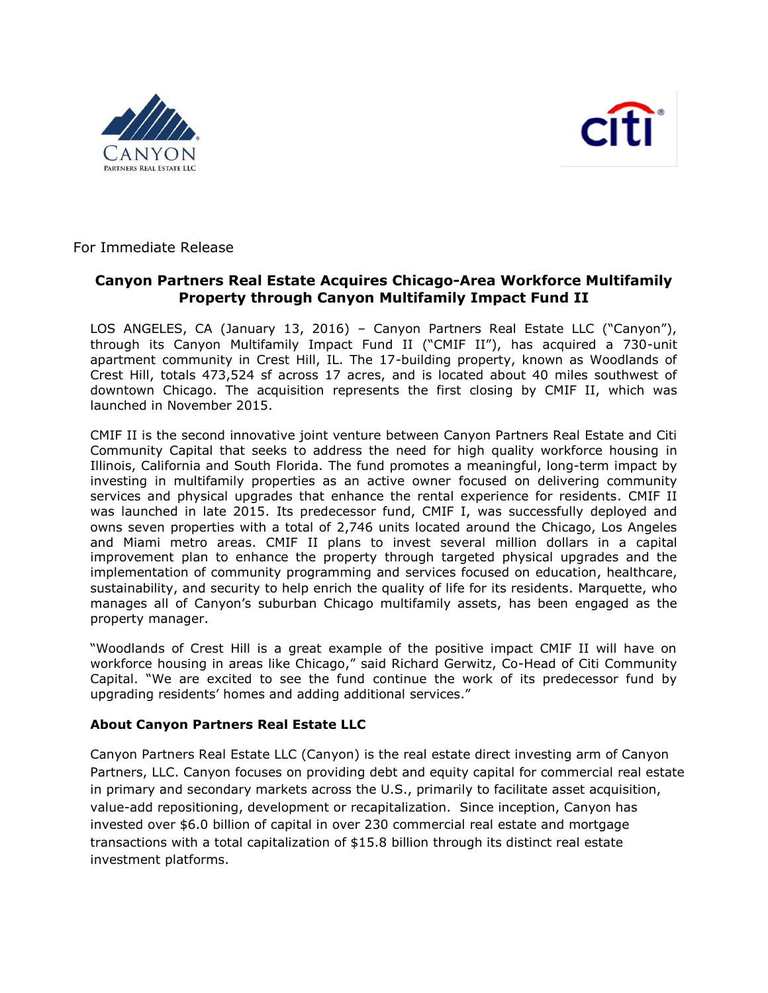



For Immediate Release

## **Canyon Partners Real Estate Acquires Chicago-Area Workforce Multifamily Property through Canyon Multifamily Impact Fund II**

LOS ANGELES, CA (January 13, 2016) – Canyon Partners Real Estate LLC ("Canyon"), through its Canyon Multifamily Impact Fund II ("CMIF II"), has acquired a 730-unit apartment community in Crest Hill, IL. The 17-building property, known as Woodlands of Crest Hill, totals 473,524 sf across 17 acres, and is located about 40 miles southwest of downtown Chicago. The acquisition represents the first closing by CMIF II, which was launched in November 2015.

CMIF II is the second innovative joint venture between Canyon Partners Real Estate and Citi Community Capital that seeks to address the need for high quality workforce housing in Illinois, California and South Florida. The fund promotes a meaningful, long-term impact by investing in multifamily properties as an active owner focused on delivering community services and physical upgrades that enhance the rental experience for residents. CMIF II was launched in late 2015. Its predecessor fund, CMIF I, was successfully deployed and owns seven properties with a total of 2,746 units located around the Chicago, Los Angeles and Miami metro areas. CMIF II plans to invest several million dollars in a capital improvement plan to enhance the property through targeted physical upgrades and the implementation of community programming and services focused on education, healthcare, sustainability, and security to help enrich the quality of life for its residents. Marquette, who manages all of Canyon's suburban Chicago multifamily assets, has been engaged as the property manager.

"Woodlands of Crest Hill is a great example of the positive impact CMIF II will have on workforce housing in areas like Chicago," said Richard Gerwitz, Co-Head of Citi Community Capital. "We are excited to see the fund continue the work of its predecessor fund by upgrading residents' homes and adding additional services."

## **About Canyon Partners Real Estate LLC**

Canyon Partners Real Estate LLC (Canyon) is the real estate direct investing arm of Canyon Partners, LLC. Canyon focuses on providing debt and equity capital for commercial real estate in primary and secondary markets across the U.S., primarily to facilitate asset acquisition, value-add repositioning, development or recapitalization. Since inception, Canyon has invested over \$6.0 billion of capital in over 230 commercial real estate and mortgage transactions with a total capitalization of \$15.8 billion through its distinct real estate investment platforms.